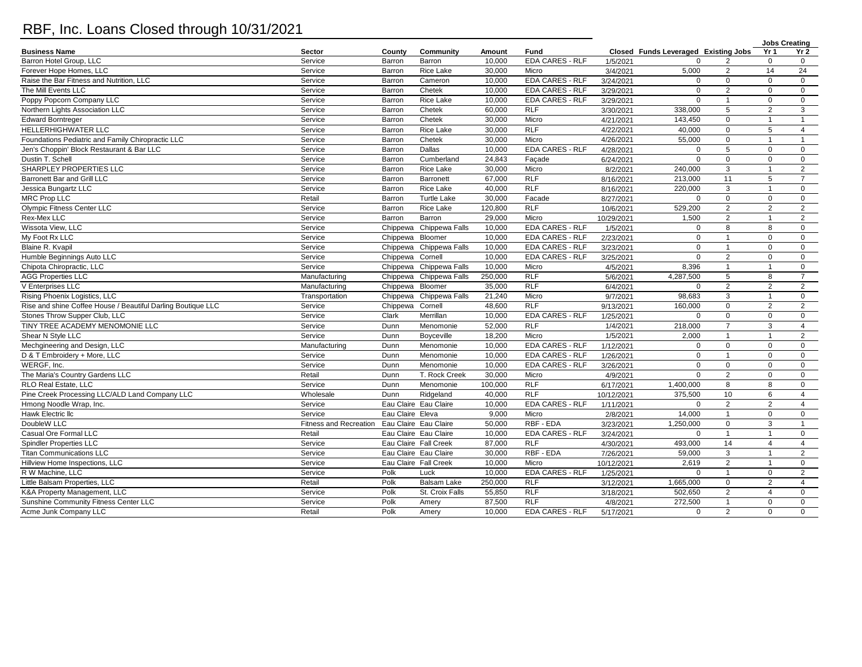## RBF, Inc. Loans Closed through 10/31/2021

|                                                              |                               |                  |                         |         |                        |            |                                      |                 | <b>Jobs Creating</b> |                 |
|--------------------------------------------------------------|-------------------------------|------------------|-------------------------|---------|------------------------|------------|--------------------------------------|-----------------|----------------------|-----------------|
| <b>Business Name</b>                                         | Sector                        | County           | Community               | Amount  | Fund                   |            | Closed Funds Leveraged Existing Jobs |                 | Yr 1                 | Yr <sub>2</sub> |
| Barron Hotel Group, LLC                                      | Service                       | Barron           | Barron                  | 10,000  | <b>EDA CARES - RLF</b> | 1/5/2021   | $\Omega$                             |                 | $\mathbf 0$          | $\mathbf 0$     |
| Forever Hope Homes, LLC                                      | Service                       | Barron           | <b>Rice Lake</b>        | 30.000  | Micro                  | 3/4/2021   | 5,000                                | 2               | 14                   | 24              |
| Raise the Bar Fitness and Nutrition. LLC                     | Service                       | Barron           | Cameron                 | 10,000  | <b>EDA CARES - RLF</b> | 3/24/2021  | $\mathbf 0$                          | $\mathbf 0$     | $\mathbf 0$          | $\mathbf 0$     |
| The Mill Events LLC                                          | Service                       | Barron           | Chetek                  | 10,000  | <b>EDA CARES - RLF</b> | 3/29/2021  | $\Omega$                             | 2               | $\Omega$             | $\mathbf 0$     |
| Poppy Popcorn Company LLC                                    | Service                       | Barron           | Rice Lake               | 10,000  | <b>EDA CARES - RLF</b> | 3/29/2021  | $\mathbf 0$                          | $\mathbf{1}$    | $\mathsf 0$          | $\mathbf 0$     |
| Northern Lights Association LLC                              | Service                       | Barron           | Chetek                  | 60,000  | <b>RLF</b>             | 3/30/2021  | 338,000                              | 5               | $\overline{2}$       | $\mathbf{3}$    |
| <b>Edward Borntreger</b>                                     | Service                       | Barron           | Chetek                  | 30,000  | Micro                  | 4/21/2021  | 143,450                              | $\mathbf 0$     | $\mathbf{1}$         | $\mathbf{1}$    |
| HELLERHIGHWATER LLC                                          | Service                       | Barron           | Rice Lake               | 30,000  | <b>RLF</b>             | 4/22/2021  | 40,000                               | $\mathbf 0$     | 5                    | $\overline{4}$  |
| Foundations Pediatric and Family Chiropractic LLC            | Service                       | Barron           | Chetek                  | 30.000  | Micro                  | 4/26/2021  | 55,000                               | $\mathbf 0$     | $\mathbf{1}$         | $\mathbf{1}$    |
| Jen's Choppin' Block Restaurant & Bar LLC                    | Service                       | Barron           | Dallas                  | 10,000  | <b>EDA CARES - RLF</b> | 4/28/2021  | $\mathbf 0$                          | $5\phantom{.0}$ | $\mathbf 0$          | $\mathbf 0$     |
| Dustin T. Schell                                             | Service                       | Barron           | Cumberland              | 24,843  | Facade                 | 6/24/2021  | $\mathbf 0$                          | $\mathbf 0$     | $\mathbf 0$          | $\mathbf 0$     |
| SHARPLEY PROPERTIES LLC                                      | Service                       | Barron           | Rice Lake               | 30,000  | Micro                  | 8/2/2021   | 240,000                              | $\mathbf{3}$    | $\mathbf{1}$         | 2               |
| Barronett Bar and Grill LLC                                  | Service                       | Barron           | <b>Barronett</b>        | 67,000  | RLF                    | 8/16/2021  | 213,000                              | 11              | 5                    | $\overline{7}$  |
| Jessica Bungartz LLC                                         | Service                       | Barron           | Rice Lake               | 40,000  | <b>RLF</b>             | 8/16/2021  | 220,000                              | $\mathbf{3}$    | $\mathbf{1}$         | $\mathbf 0$     |
| <b>MRC Prop LLC</b>                                          | Retail                        | Barron           | <b>Turtle Lake</b>      | 30,000  | Facade                 | 8/27/2021  | $\Omega$                             | $\overline{0}$  | $\mathbf 0$          | $\overline{0}$  |
| <b>Olympic Fitness Center LLC</b>                            | Service                       | Barron           | <b>Rice Lake</b>        | 120.800 | <b>RLF</b>             | 10/6/2021  | 529,200                              | 2               | $\overline{2}$       | 2               |
| Rex-Mex LLC                                                  | Service                       | Barron           | Barron                  | 29,000  | Micro                  | 10/29/2021 | 1,500                                | $\overline{2}$  | $\mathbf{1}$         | 2               |
| Wissota View. LLC                                            | Service                       |                  | Chippewa Chippewa Falls | 10,000  | <b>EDA CARES - RLF</b> | 1/5/2021   | $\Omega$                             | 8               | 8                    | $\mathbf 0$     |
| My Foot Rx LLC                                               | Service                       | Chippewa Bloomer |                         | 10,000  | <b>EDA CARES - RLF</b> | 2/23/2021  | $\mathbf 0$                          | $\mathbf{1}$    | $\mathbf 0$          | $\mathbf 0$     |
| Blaine R. Kvapil                                             | Service                       |                  | Chippewa Chippewa Falls | 10,000  | EDA CARES - RLF        | 3/23/2021  | $\mathbf 0$                          | $\mathbf{1}$    | $\mathbf 0$          | $\mathbf 0$     |
| Humble Beginnings Auto LLC                                   | Service                       | Chippewa Cornell |                         | 10,000  | <b>EDA CARES - RLF</b> | 3/25/2021  | $\mathbf 0$                          | 2               | $\mathbf 0$          | $\mathbf 0$     |
| Chipota Chiropractic, LLC                                    | Service                       |                  | Chippewa Chippewa Falls | 10,000  | Micro                  | 4/5/2021   | 8,396                                | $\mathbf{1}$    | $\mathbf{1}$         | $\mathbf 0$     |
| <b>AGG Properties LLC</b>                                    | Manufacturing                 |                  | Chippewa Chippewa Falls | 250,000 | <b>RLF</b>             | 5/6/2021   | 4,287,500                            | 5               | 8                    | $\overline{7}$  |
| V Enterprises LLC                                            | Manufacturing                 | Chippewa Bloomer |                         | 35,000  | <b>RLF</b>             | 6/4/2021   | $\mathbf 0$                          | 2               | $\overline{2}$       | 2               |
| Rising Phoenix Logistics, LLC                                | Transportation                |                  | Chippewa Chippewa Falls | 21,240  | Micro                  | 9/7/2021   | 98,683                               | 3               | $\mathbf{1}$         | $\mathbf 0$     |
| Rise and shine Coffee House / Beautiful Darling Boutique LLC | Service                       | Chippewa Cornell |                         | 48,600  | <b>RLF</b>             | 9/13/2021  | 160,000                              | $\mathbf 0$     | $\overline{2}$       | 2               |
| Stones Throw Supper Club, LLC                                | Service                       | Clark            | Merrillan               | 10,000  | <b>EDA CARES - RLF</b> | 1/25/2021  | $\mathbf 0$                          | $\mathsf 0$     | $\mathbf 0$          | $\mathbf 0$     |
| TINY TREE ACADEMY MENOMONIE LLC                              | Service                       | Dunn             | Menomonie               | 52,000  | RLF                    | 1/4/2021   | 218,000                              | $\overline{7}$  | 3                    | $\overline{4}$  |
| Shear N Style LLC                                            | Service                       | Dunn             | Boyceville              | 18,200  | Micro                  | 1/5/2021   | 2,000                                | $\overline{1}$  | $\mathbf{1}$         | 2               |
| Mechgineering and Design, LLC                                | Manufacturing                 | Dunn             | Menomonie               | 10.000  | <b>EDA CARES - RLF</b> | 1/12/2021  | $\Omega$                             | $\mathbf 0$     | $\Omega$             | $\mathbf 0$     |
| D & T Embroidery + More, LLC                                 | Service                       | Dunn             | Menomonie               | 10,000  | <b>EDA CARES - RLF</b> | 1/26/2021  | $\mathbf 0$                          | $\overline{1}$  | $\mathbf 0$          | $\mathbf 0$     |
| WERGF, Inc.                                                  | Service                       | Dunn             | Menomonie               | 10,000  | <b>EDA CARES - RLF</b> | 3/26/2021  | $\Omega$                             | $\mathbf 0$     | $\Omega$             | $\mathbf 0$     |
| The Maria's Country Gardens LLC                              | Retail                        | Dunn             | T. Rock Creek           | 30,000  | Micro                  | 4/9/2021   | $\Omega$                             | $\overline{2}$  | $\mathbf 0$          | $\mathsf 0$     |
| RLO Real Estate, LLC                                         | Service                       | Dunn             | Menomonie               | 100,000 | <b>RLF</b>             | 6/17/2021  | 1,400,000                            | 8               | 8                    | $\mathbf 0$     |
| Pine Creek Processing LLC/ALD Land Company LLC               | Wholesale                     | Dunn             | Ridgeland               | 40,000  | <b>RLF</b>             | 10/12/2021 | 375,500                              | 10              | 6                    | $\overline{4}$  |
| Hmong Noodle Wrap, Inc.                                      | Service                       |                  | Eau Claire Eau Claire   | 10,000  | <b>EDA CARES - RLF</b> | 1/11/2021  | $\mathbf 0$                          | 2               | $\overline{2}$       | $\overline{4}$  |
| Hawk Electric Ilc                                            | Service                       | Eau Claire Eleva |                         | 9.000   | Micro                  | 2/8/2021   | 14,000                               | $\mathbf{1}$    | $\mathbf 0$          | $\mathbf{0}$    |
| DoubleW LLC                                                  | <b>Fitness and Recreation</b> |                  | Eau Claire Eau Claire   | 50,000  | RBF - EDA              | 3/23/2021  | 1,250,000                            | $\mathbf 0$     | 3                    | $\overline{1}$  |
| Casual Ore Formal LLC                                        | Retail                        |                  | Eau Claire Eau Claire   | 10,000  | <b>EDA CARES - RLF</b> | 3/24/2021  | $\Omega$                             | $\overline{1}$  | $\mathbf{1}$         | $\mathbf 0$     |
| <b>Spindler Properties LLC</b>                               | Service                       |                  | Eau Claire Fall Creek   | 87,000  | <b>RLF</b>             | 4/30/2021  | 493,000                              | 14              | $\overline{4}$       | $\overline{4}$  |
| <b>Titan Communications LLC</b>                              | Service                       |                  | Eau Claire Eau Claire   | 30,000  | RBF - EDA              | 7/26/2021  | 59,000                               | $\mathbf{3}$    | $\mathbf{1}$         | 2               |
| Hillview Home Inspections, LLC                               | Service                       |                  | Eau Claire Fall Creek   | 10,000  | Micro                  | 10/12/2021 | 2,619                                | $\overline{2}$  | $\mathbf{1}$         | $\mathbf 0$     |
| R W Machine, LLC                                             | Service                       | Polk             | Luck                    | 10,000  | <b>EDA CARES - RLF</b> | 1/25/2021  | $\Omega$                             | $\mathbf{1}$    | $\mathbf 0$          | 2               |
| Little Balsam Properties, LLC                                | Retail                        | Polk             | <b>Balsam Lake</b>      | 250,000 | <b>RLF</b>             | 3/12/2021  | 1,665,000                            | $\mathbf 0$     | $\overline{2}$       | $\overline{4}$  |
| K&A Property Management, LLC                                 | Service                       | Polk             | St. Croix Falls         | 55,850  | RLF                    | 3/18/2021  | 502,650                              | 2               | $\overline{4}$       | $\mathbf 0$     |
| Sunshine Community Fitness Center LLC                        | Service                       | Polk             | Amery                   | 87,500  | <b>RLF</b>             | 4/8/2021   | 272,500                              | $\mathbf{1}$    | $\mathbf 0$          | $\mathbf 0$     |
| Acme Junk Company LLC                                        | Retail                        | Polk             | Amery                   | 10,000  | EDA CARES - RLF        | 5/17/2021  | $\Omega$                             | $\overline{2}$  | $\mathbf 0$          | $\mathsf 0$     |
|                                                              |                               |                  |                         |         |                        |            |                                      |                 |                      |                 |